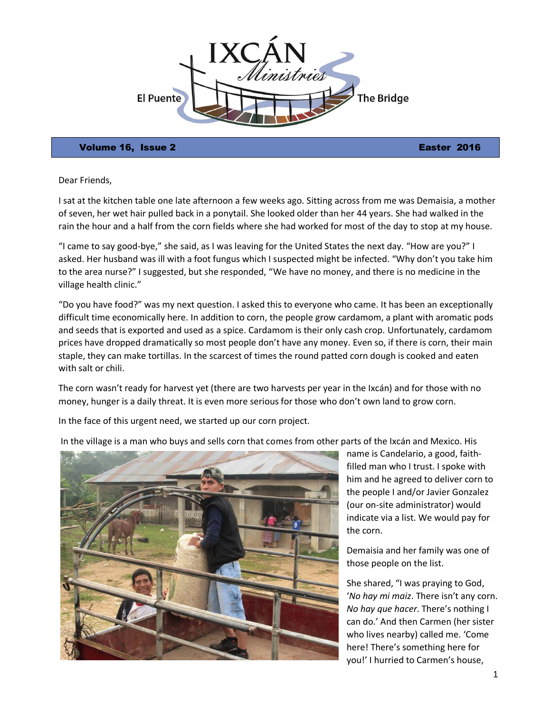

## **Volume 16, Issue 2** Easter 2016

Dear Friends,

I sat at the kitchen table one late afternoon a few weeks ago. Sitting across from me was Demaisia, a mother of seven, her wet hair pulled back in a ponytail. She looked older than her 44 years. She had walked in the rain the hour and a half from the corn fields where she had worked for most of the day to stop at my house.

"I came to say good-bye," she said, as I was leaving for the United States the next day. "How are you?" I asked. Her husband was ill with a foot fungus which I suspected might be infected. "Why don't you take him to the area nurse?" I suggested, but she responded, "We have no money, and there is no medicine in the village health clinic."

"Do you have food?" was my next question. I asked this to everyone who came. It has been an exceptionally difficult time economically here. In addition to corn, the people grow cardamom, a plant with aromatic pods and seeds that is exported and used as a spice. Cardamom is their only cash crop. Unfortunately, cardamom prices have dropped dramatically so most people don't have any money. Even so, if there is corn, their main staple, they can make tortillas. In the scarcest of times the round patted corn dough is cooked and eaten with salt or chili.

The corn wasn't ready for harvest yet (there are two harvests per year in the Ixcán) and for those with no money, hunger is a daily threat. It is even more serious for those who don't own land to grow corn.

In the face of this urgent need, we started up our corn project.

In the village is a man who buys and sells corn that comes from other parts of the Ixcán and Mexico. His



name is Candelario, a good, faithfilled man who I trust. I spoke with him and he agreed to deliver corn to the people I and/or Javier Gonzalez (our on-site administrator) would indicate via a list. We would pay for the corn.

Demaisia and her family was one of those people on the list.

She shared, "I was praying to God, '*No hay mi maiz*. There isn't any corn. *No hay que hacer*. There's nothing I can do.' And then Carmen (her sister who lives nearby) called me. 'Come here! There's something here for you!' I hurried to Carmen's house,